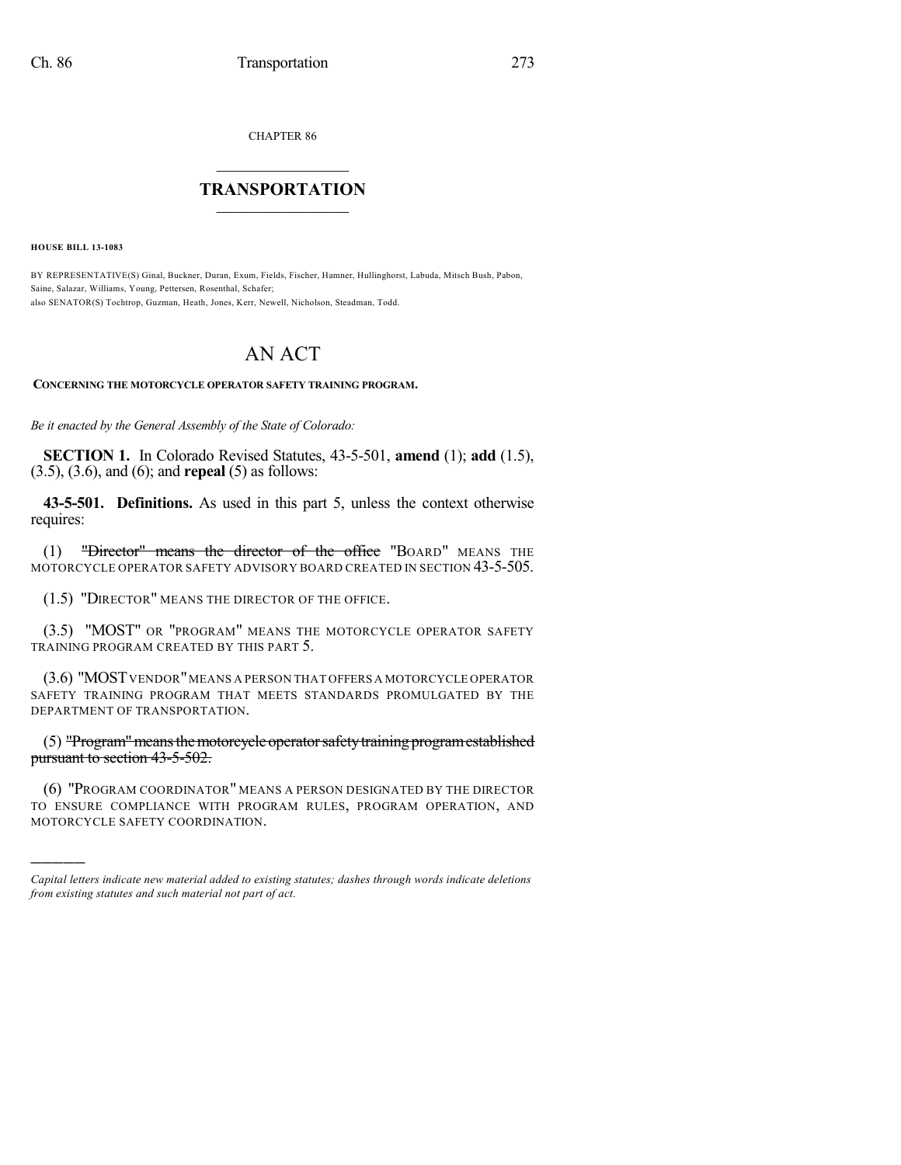CHAPTER 86

## $\mathcal{L}_\text{max}$  . The set of the set of the set of the set of the set of the set of the set of the set of the set of the set of the set of the set of the set of the set of the set of the set of the set of the set of the set **TRANSPORTATION**  $\_$   $\_$   $\_$   $\_$   $\_$   $\_$   $\_$   $\_$   $\_$   $\_$

**HOUSE BILL 13-1083**

)))))

BY REPRESENTATIVE(S) Ginal, Buckner, Duran, Exum, Fields, Fischer, Hamner, Hullinghorst, Labuda, Mitsch Bush, Pabon, Saine, Salazar, Williams, Young, Pettersen, Rosenthal, Schafer; also SENATOR(S) Tochtrop, Guzman, Heath, Jones, Kerr, Newell, Nicholson, Steadman, Todd.

## AN ACT

## **CONCERNING THE MOTORCYCLE OPERATOR SAFETY TRAINING PROGRAM.**

*Be it enacted by the General Assembly of the State of Colorado:*

**SECTION 1.** In Colorado Revised Statutes, 43-5-501, **amend** (1); **add** (1.5), (3.5), (3.6), and (6); and **repeal** (5) as follows:

**43-5-501. Definitions.** As used in this part 5, unless the context otherwise requires:

(1) "Director" means the director of the office "BOARD" MEANS THE MOTORCYCLE OPERATOR SAFETY ADVISORY BOARD CREATED IN SECTION 43-5-505.

(1.5) "DIRECTOR" MEANS THE DIRECTOR OF THE OFFICE.

(3.5) "MOST" OR "PROGRAM" MEANS THE MOTORCYCLE OPERATOR SAFETY TRAINING PROGRAM CREATED BY THIS PART 5.

(3.6) "MOSTVENDOR"MEANS A PERSON THAT OFFERS A MOTORCYCLE OPERATOR SAFETY TRAINING PROGRAM THAT MEETS STANDARDS PROMULGATED BY THE DEPARTMENT OF TRANSPORTATION.

(5) "Program" means the motorcycle operator safety training program established pursuant to section 43-5-502.

(6) "PROGRAM COORDINATOR" MEANS A PERSON DESIGNATED BY THE DIRECTOR TO ENSURE COMPLIANCE WITH PROGRAM RULES, PROGRAM OPERATION, AND MOTORCYCLE SAFETY COORDINATION.

*Capital letters indicate new material added to existing statutes; dashes through words indicate deletions from existing statutes and such material not part of act.*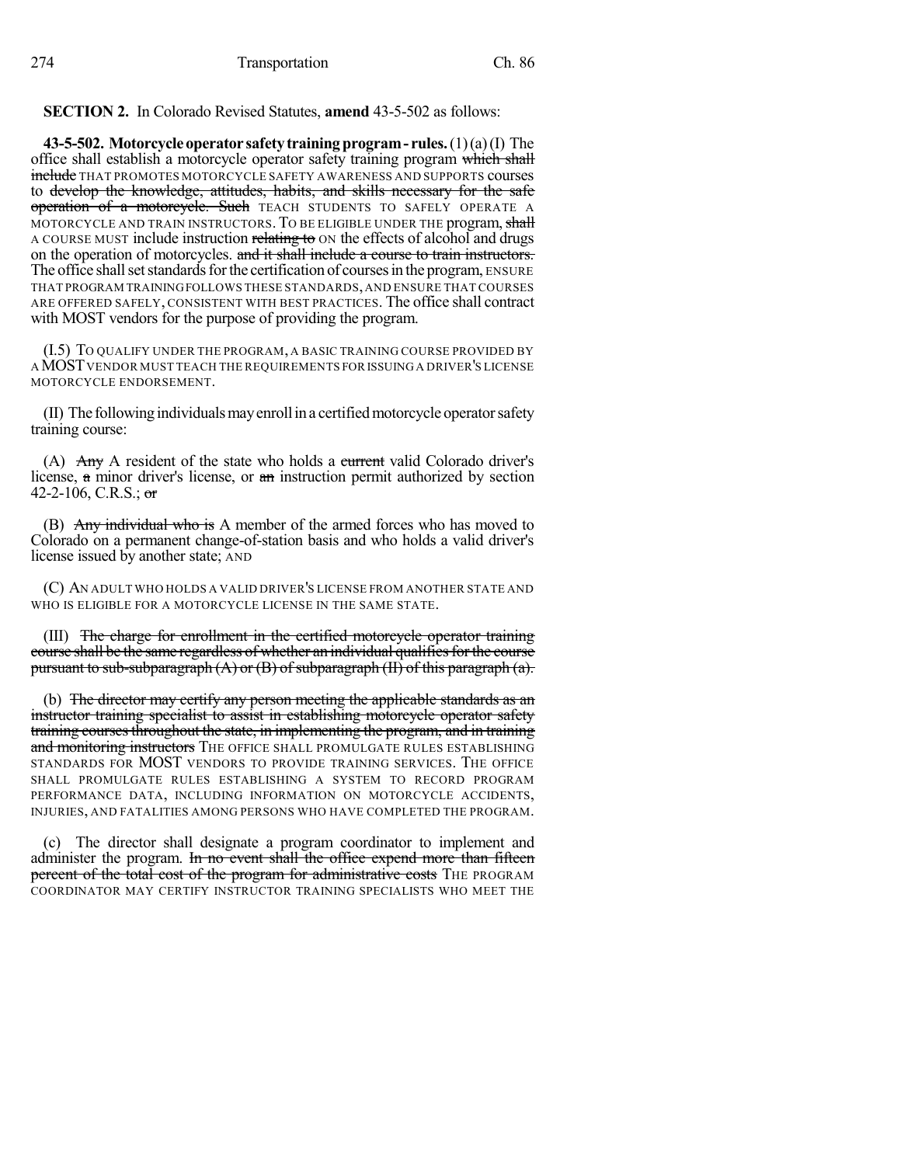**SECTION 2.** In Colorado Revised Statutes, **amend** 43-5-502 as follows:

**43-5-502. Motorcycleoperator safetytrainingprogram- rules.**(1)(a)(I) The office shall establish a motorcycle operator safety training program which shall include THAT PROMOTES MOTORCYCLE SAFETY AWARENESS AND SUPPORTS courses to develop the knowledge, attitudes, habits, and skills necessary for the safe operation of a motorcycle. Such TEACH STUDENTS TO SAFELY OPERATE A MOTORCYCLE AND TRAIN INSTRUCTORS. TO BE ELIGIBLE UNDER THE program, shall A COURSE MUST include instruction relating to ON the effects of alcohol and drugs on the operation of motorcycles. and it shall include a course to train instructors. The office shall set standards for the certification of courses in the program, ENSURE THAT PROGRAM TRAININGFOLLOWS THESE STANDARDS,AND ENSURE THAT COURSES ARE OFFERED SAFELY, CONSISTENT WITH BEST PRACTICES. The office shall contract with MOST vendors for the purpose of providing the program.

(I.5) TO QUALIFY UNDER THE PROGRAM, A BASIC TRAINING COURSE PROVIDED BY AMOSTVENDOR MUST TEACH THE REQUIREMENTS FOR ISSUING A DRIVER'S LICENSE MOTORCYCLE ENDORSEMENT.

(II) The following individuals may enroll in a certified motorcycle operator safety training course:

(A)  $\overrightarrow{Any}$  A resident of the state who holds a eurrent valid Colorado driver's license, a minor driver's license, or an instruction permit authorized by section 42-2-106, C.R.S.; or

(B) Any individual who is A member of the armed forces who has moved to Colorado on a permanent change-of-station basis and who holds a valid driver's license issued by another state; AND

(C) AN ADULT WHO HOLDS A VALID DRIVER'S LICENSE FROM ANOTHER STATE AND WHO IS ELIGIBLE FOR A MOTORCYCLE LICENSE IN THE SAME STATE.

(III) The charge for enrollment in the certified motorcycle operator training course shall be the same regardless of whether an individual qualifiesforthe course pursuant to sub-subparagraph  $(A)$  or  $(B)$  of subparagraph  $(H)$  of this paragraph  $(a)$ .

(b) The director may certify any person meeting the applicable standards as an instructor training specialist to assist in establishing motorcycle operator safety training coursesthroughout the state, in implementing the program, and in training and monitoring instructors THE OFFICE SHALL PROMULGATE RULES ESTABLISHING STANDARDS FOR MOST VENDORS TO PROVIDE TRAINING SERVICES. THE OFFICE SHALL PROMULGATE RULES ESTABLISHING A SYSTEM TO RECORD PROGRAM PERFORMANCE DATA, INCLUDING INFORMATION ON MOTORCYCLE ACCIDENTS, INJURIES, AND FATALITIES AMONG PERSONS WHO HAVE COMPLETED THE PROGRAM.

(c) The director shall designate a program coordinator to implement and administer the program. In no event shall the office expend more than fifteen percent of the total cost of the program for administrative costs THE PROGRAM COORDINATOR MAY CERTIFY INSTRUCTOR TRAINING SPECIALISTS WHO MEET THE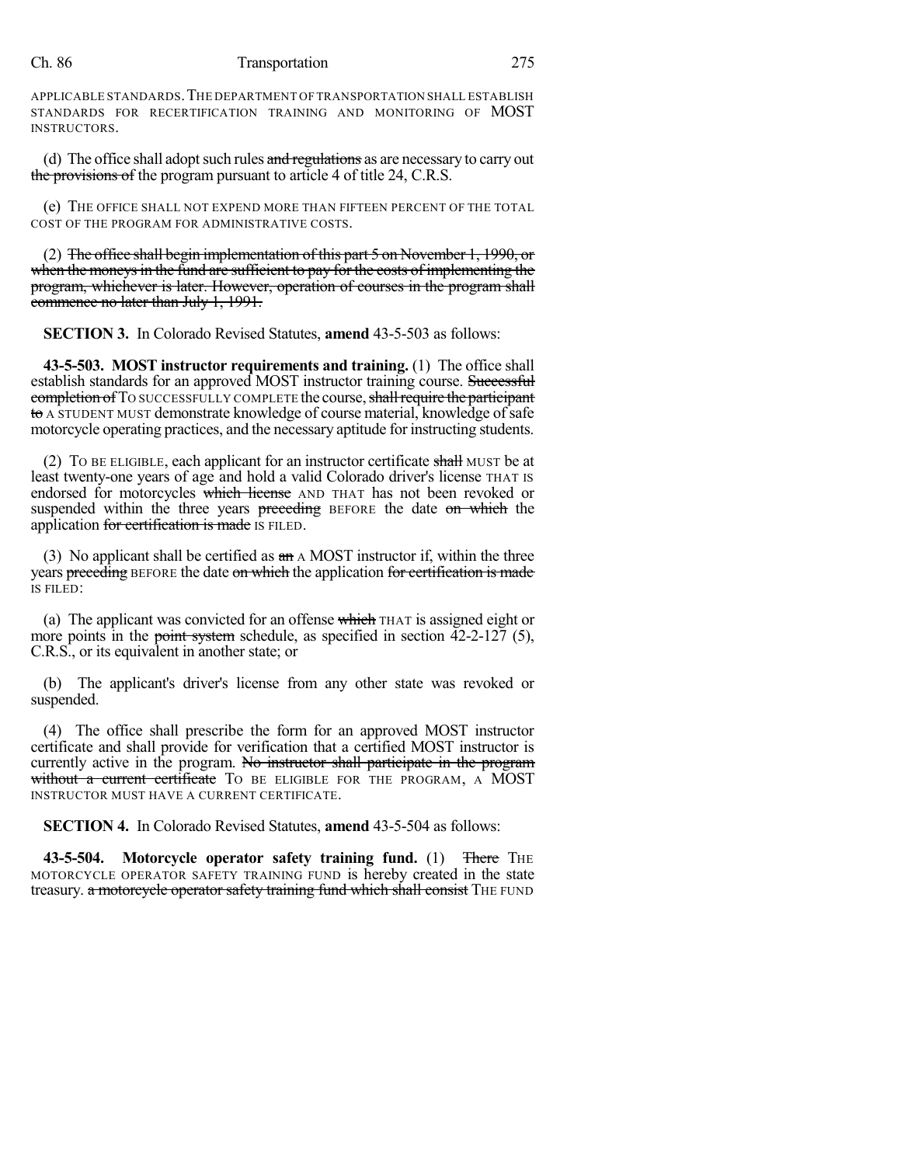## Ch. 86 Transportation 275

APPLICABLE STANDARDS.THE DEPARTMENT OF TRANSPORTATION SHALL ESTABLISH STANDARDS FOR RECERTIFICATION TRAINING AND MONITORING OF MOST INSTRUCTORS.

(d) The office shall adopt such rules  $\overline{\mathbf{a}}$  regulations as are necessary to carry out the provisions of the program pursuant to article 4 of title 24, C.R.S.

(e) THE OFFICE SHALL NOT EXPEND MORE THAN FIFTEEN PERCENT OF THE TOTAL COST OF THE PROGRAM FOR ADMINISTRATIVE COSTS.

(2) The office shall begin implementation of this part 5 on November 1, 1990, or when the moneys in the fund are sufficient to pay for the costs of implementing the program, whichever is later. However, operation of courses in the program shall commence no later than July 1, 1991.

**SECTION 3.** In Colorado Revised Statutes, **amend** 43-5-503 as follows:

**43-5-503. MOST instructor requirements and training.** (1) The office shall establish standards for an approved MOST instructor training course. Successful completion of TO SUCCESSFULLY COMPLETE the course, shall require the participant to A STUDENT MUST demonstrate knowledge of course material, knowledge ofsafe motorcycle operating practices, and the necessary aptitude for instructing students.

(2) To BE ELIGIBLE, each applicant for an instructor certificate shall MUST be at least twenty-one years of age and hold a valid Colorado driver's license THAT IS endorsed for motorcycles which license AND THAT has not been revoked or suspended within the three years preceding BEFORE the date on which the application for certification is made IS FILED.

(3) No applicant shall be certified as  $a\text{m}$  A MOST instructor if, within the three years preceding BEFORE the date on which the application for certification is made IS FILED:

(a) The applicant was convicted for an offense which  $T_{HAT}$  is assigned eight or more points in the <del>point system</del> schedule, as specified in section  $42-2-127$  (5), C.R.S., or its equivalent in another state; or

(b) The applicant's driver's license from any other state was revoked or suspended.

(4) The office shall prescribe the form for an approved MOST instructor certificate and shall provide for verification that a certified MOST instructor is currently active in the program. No instructor shall participate in the program without a current certificate TO BE ELIGIBLE FOR THE PROGRAM, A MOST INSTRUCTOR MUST HAVE A CURRENT CERTIFICATE.

**SECTION 4.** In Colorado Revised Statutes, **amend** 43-5-504 as follows:

**43-5-504. Motorcycle operator safety training fund.** (1) There THE MOTORCYCLE OPERATOR SAFETY TRAINING FUND is hereby created in the state treasury. a motorcycle operator safety training fund which shall consist THE FUND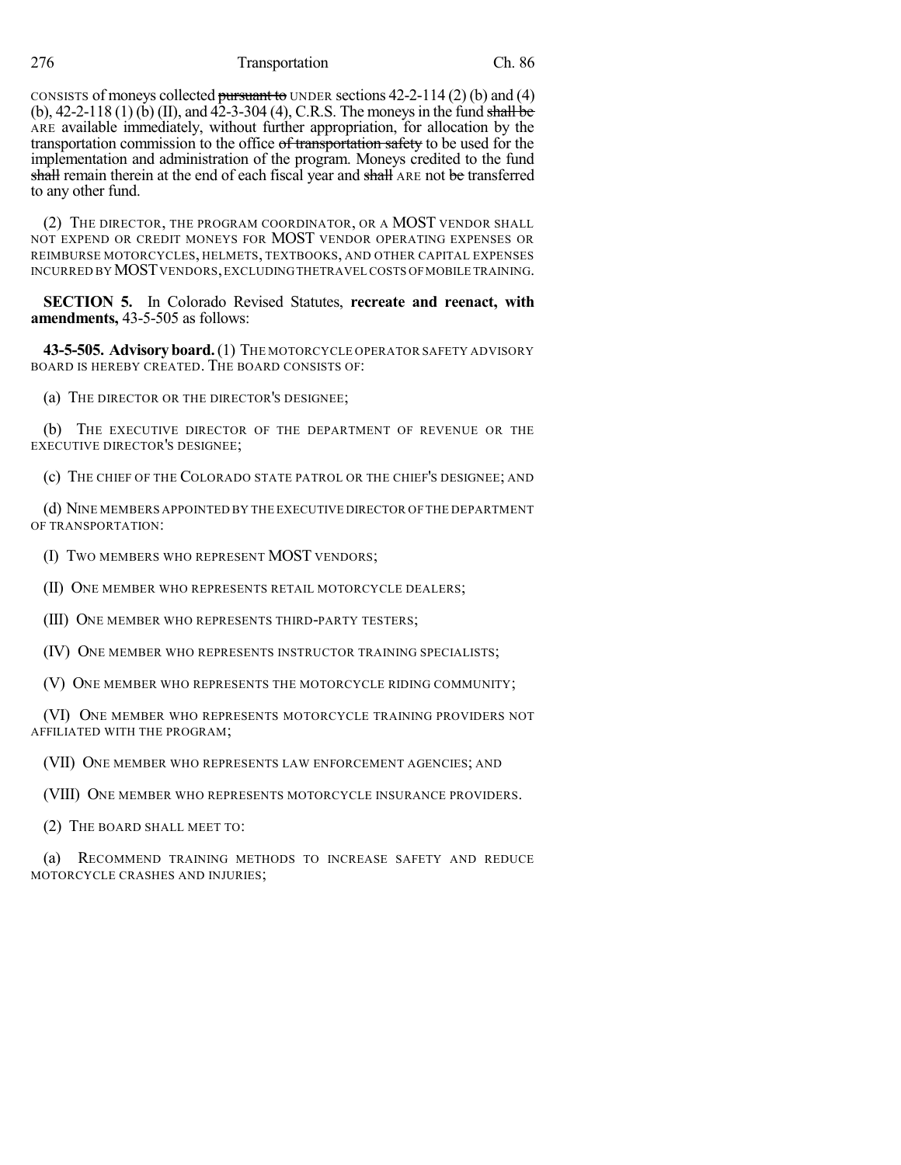276 Transportation Ch. 86

CONSISTS of moneys collected pursuant to UNDER sections  $42-2-114(2)$  (b) and (4) (b),  $42-2-118$  (1) (b) (II), and  $42-3-304$  (4), C.R.S. The moneys in the fund shall be ARE available immediately, without further appropriation, for allocation by the transportation commission to the office of transportation safety to be used for the implementation and administration of the program. Moneys credited to the fund shall remain therein at the end of each fiscal year and shall ARE not be transferred to any other fund.

(2) THE DIRECTOR, THE PROGRAM COORDINATOR, OR A MOST VENDOR SHALL NOT EXPEND OR CREDIT MONEYS FOR MOST VENDOR OPERATING EXPENSES OR REIMBURSE MOTORCYCLES, HELMETS, TEXTBOOKS, AND OTHER CAPITAL EXPENSES INCURRED BY MOST VENDORS, EXCLUDING THETRAVEL COSTS OF MOBILE TRAINING.

**SECTION 5.** In Colorado Revised Statutes, **recreate and reenact, with amendments,** 43-5-505 as follows:

**43-5-505. Advisoryboard.**(1) THE MOTORCYCLE OPERATOR SAFETY ADVISORY BOARD IS HEREBY CREATED. THE BOARD CONSISTS OF:

(a) THE DIRECTOR OR THE DIRECTOR'S DESIGNEE;

(b) THE EXECUTIVE DIRECTOR OF THE DEPARTMENT OF REVENUE OR THE EXECUTIVE DIRECTOR'S DESIGNEE;

(c) THE CHIEF OF THE COLORADO STATE PATROL OR THE CHIEF'S DESIGNEE; AND

(d) NINE MEMBERS APPOINTED BY THE EXECUTIVE DIRECTOR OF THE DEPARTMENT OF TRANSPORTATION:

(I) TWO MEMBERS WHO REPRESENT MOST VENDORS;

(II) ONE MEMBER WHO REPRESENTS RETAIL MOTORCYCLE DEALERS;

(III) ONE MEMBER WHO REPRESENTS THIRD-PARTY TESTERS;

(IV) ONE MEMBER WHO REPRESENTS INSTRUCTOR TRAINING SPECIALISTS;

(V) ONE MEMBER WHO REPRESENTS THE MOTORCYCLE RIDING COMMUNITY;

(VI) ONE MEMBER WHO REPRESENTS MOTORCYCLE TRAINING PROVIDERS NOT AFFILIATED WITH THE PROGRAM;

(VII) ONE MEMBER WHO REPRESENTS LAW ENFORCEMENT AGENCIES; AND

(VIII) ONE MEMBER WHO REPRESENTS MOTORCYCLE INSURANCE PROVIDERS.

(2) THE BOARD SHALL MEET TO:

(a) RECOMMEND TRAINING METHODS TO INCREASE SAFETY AND REDUCE MOTORCYCLE CRASHES AND INJURIES;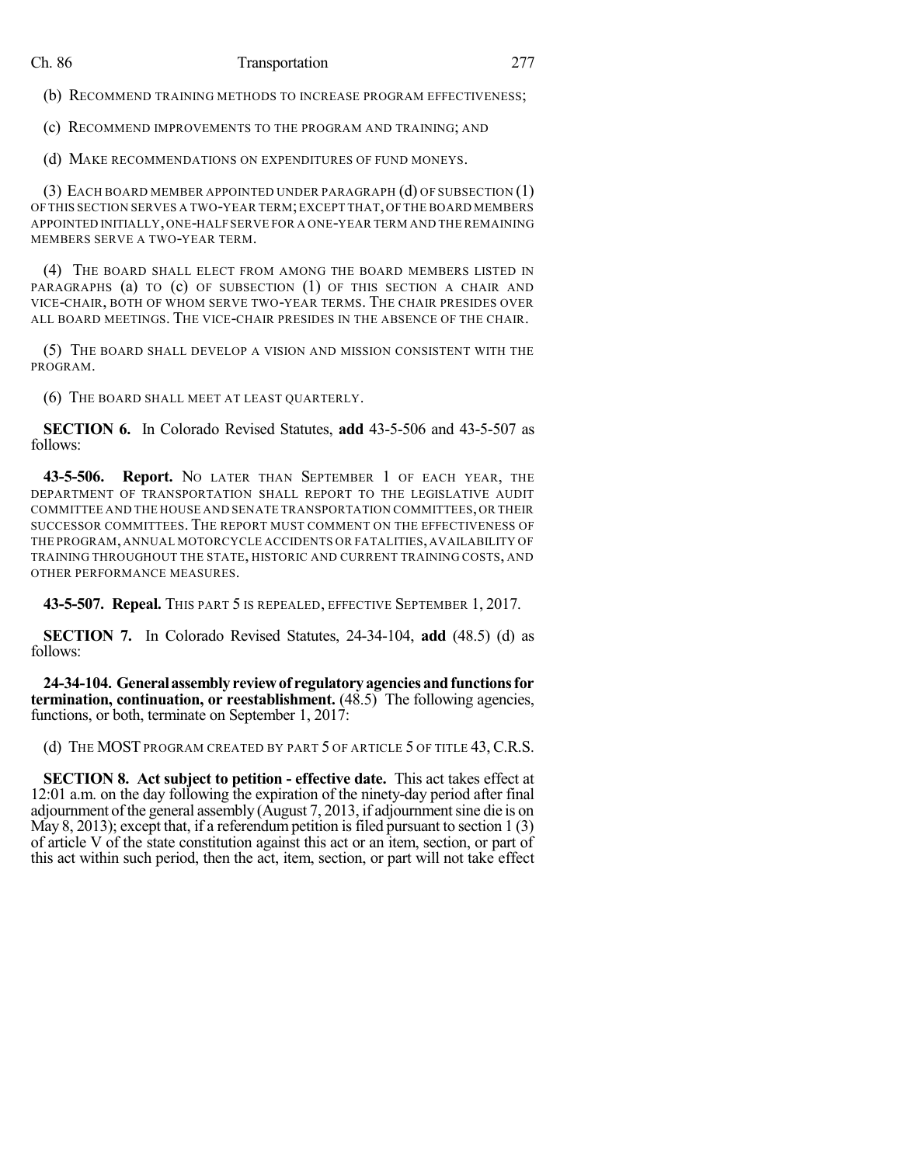(b) RECOMMEND TRAINING METHODS TO INCREASE PROGRAM EFFECTIVENESS;

(c) RECOMMEND IMPROVEMENTS TO THE PROGRAM AND TRAINING; AND

(d) MAKE RECOMMENDATIONS ON EXPENDITURES OF FUND MONEYS.

(3) EACH BOARD MEMBER APPOINTED UNDER PARAGRAPH (d) OF SUBSECTION (1) OF THIS SECTION SERVES A TWO-YEAR TERM;EXCEPT THAT,OF THE BOARD MEMBERS APPOINTED INITIALLY,ONE-HALF SERVE FOR A ONE-YEAR TERM AND THE REMAINING MEMBERS SERVE A TWO-YEAR TERM.

(4) THE BOARD SHALL ELECT FROM AMONG THE BOARD MEMBERS LISTED IN PARAGRAPHS (a) TO (c) OF SUBSECTION (1) OF THIS SECTION A CHAIR AND VICE-CHAIR, BOTH OF WHOM SERVE TWO-YEAR TERMS. THE CHAIR PRESIDES OVER ALL BOARD MEETINGS. THE VICE-CHAIR PRESIDES IN THE ABSENCE OF THE CHAIR.

(5) THE BOARD SHALL DEVELOP A VISION AND MISSION CONSISTENT WITH THE PROGRAM.

(6) THE BOARD SHALL MEET AT LEAST QUARTERLY.

**SECTION 6.** In Colorado Revised Statutes, **add** 43-5-506 and 43-5-507 as follows:

**43-5-506. Report.** NO LATER THAN SEPTEMBER 1 OF EACH YEAR, THE DEPARTMENT OF TRANSPORTATION SHALL REPORT TO THE LEGISLATIVE AUDIT COMMITTEE AND THE HOUSE AND SENATE TRANSPORTATION COMMITTEES,OR THEIR SUCCESSOR COMMITTEES. THE REPORT MUST COMMENT ON THE EFFECTIVENESS OF THE PROGRAM, ANNUAL MOTORCYCLE ACCIDENTS OR FATALITIES, AVAILABILITY OF TRAINING THROUGHOUT THE STATE, HISTORIC AND CURRENT TRAINING COSTS, AND OTHER PERFORMANCE MEASURES.

**43-5-507. Repeal.** THIS PART 5 IS REPEALED, EFFECTIVE SEPTEMBER 1, 2017.

**SECTION 7.** In Colorado Revised Statutes, 24-34-104, **add** (48.5) (d) as follows:

**24-34-104. Generalassemblyreviewof regulatoryagenciesandfunctionsfor termination, continuation, or reestablishment.** (48.5) The following agencies, functions, or both, terminate on September 1, 2017:

(d) THE MOST PROGRAM CREATED BY PART 5 OF ARTICLE 5 OF TITLE 43, C.R.S.

**SECTION 8. Act subject to petition - effective date.** This act takes effect at 12:01 a.m. on the day following the expiration of the ninety-day period after final adjournment ofthe general assembly (August 7, 2013, if adjournmentsine die is on May 8, 2013); except that, if a referendum petition is filed pursuant to section  $1(3)$ of article V of the state constitution against this act or an item, section, or part of this act within such period, then the act, item, section, or part will not take effect